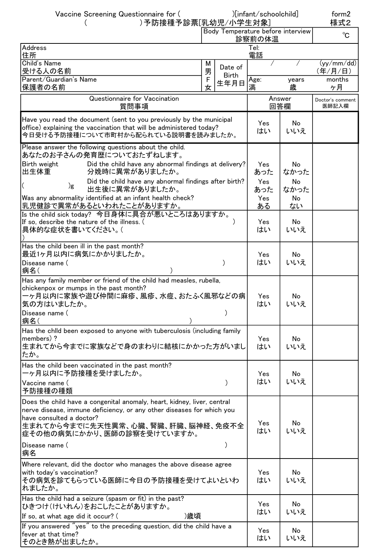| Vaccine Screening Questionnaire for (<br>)予防接種予診票[乳幼児/小学生対象]                                                                                                                                                                                                                                                                                                    |        | )[infant/schoolchild]             | form2<br>様式2                          |                                      |                           |
|-----------------------------------------------------------------------------------------------------------------------------------------------------------------------------------------------------------------------------------------------------------------------------------------------------------------------------------------------------------------|--------|-----------------------------------|---------------------------------------|--------------------------------------|---------------------------|
|                                                                                                                                                                                                                                                                                                                                                                 |        | Body Temperature before interview | 診察前の体温                                | $^{\circ}$ C                         |                           |
| Address<br>住所                                                                                                                                                                                                                                                                                                                                                   |        |                                   |                                       |                                      |                           |
| Child's Name<br>受ける人の名前                                                                                                                                                                                                                                                                                                                                         | М<br>男 | Date of                           | 電話                                    |                                      | (yy/mm / dd)<br>(年/月/日)   |
| Parent/Guardian's Name<br> 保護者の名前                                                                                                                                                                                                                                                                                                                               | F<br>女 | <b>Birth</b><br>生年月日              | Age:<br>満                             | years<br>歳                           | months<br>ヶ月              |
| Questionnaire for Vaccination<br>質問事項                                                                                                                                                                                                                                                                                                                           |        |                                   | Answer<br>回答欄                         |                                      | Doctor's comment<br>医師記入欄 |
| Have you read the document (sent to you previously by the municipal<br>office) explaining the vaccination that will be administered today?<br>今日受ける予防接種について市町村から配られている説明書を読みましたか。                                                                                                                                                                               |        |                                   | Yes<br>はい                             | No<br>いいえ                            |                           |
| Please answer the following questions about the child.<br>あなたのお子さんの発育歴についておたずねします。<br>Birth weight<br>Did the child have any abnormal findings at delivery?<br>分娩時に異常がありましたか。<br>出生体重<br>Did the child have any abnormal findings after birth?<br>)g<br>出生後に異常がありましたか。<br>Was any abnormality identified at an infant health check?<br>乳児健診で異常があるといわれたことがありますか。 |        |                                   | Yes<br>あった<br>Yes<br>あった<br>Yes<br>ある | No<br>なかった<br>No<br>なかった<br>No<br>ない |                           |
| Is the child sick today? 今日身体に具合が悪いところはありますか。<br>If so, describe the nature of the illness. (<br>具体的な症状を書いてください。(                                                                                                                                                                                                                                               |        |                                   | Yes<br>はい                             | No<br>いいえ                            |                           |
| Has the child been ill in the past month?<br>最近1ヶ月以内に病気にかかりましたか。<br>Disease name (<br> 病名(                                                                                                                                                                                                                                                                      |        |                                   | Yes<br>はい                             | No<br>いいえ                            |                           |
| Has any family member or friend of the child had measles, rubella,<br>chickenpox or mumps in the past month?<br>一ヶ月以内に家族や遊び仲間に麻疹、風疹、水痘、おたふく風邪などの病<br>気の方はいましたか。<br>Disease name (<br> 病名(                                                                                                                                                                       |        |                                   | Yes<br>はい                             | No<br>いいえ                            |                           |
| Has the child been exposed to anyone with tuberculosis (including family<br>members)?<br>生まれてから今までに家族などで身のまわりに結核にかかった方がいまし<br>たか。                                                                                                                                                                                                                               |        |                                   | Yes<br>はい                             | No<br>いいえ                            |                           |
| Has the child been vaccinated in the past month?<br>ーヶ月以内に予防接種を受けましたか。<br>Vaccine name (                                                                                                                                                                                                                                                                        |        |                                   | Yes<br>はい                             | No<br>いいえ                            |                           |
| 予防接種の種類<br>Does the child have a congenital anomaly, heart, kidney, liver, central<br>nerve disease, immune deficiency, or any other diseases for which you<br>have consulted a doctor?<br>生まれてから今までに先天性異常、心臓、腎臓、肝臓、脳神経、免疫不全<br>症その他の病気にかかり、医師の診察を受けていますか。                                                                                                      |        |                                   | Yes<br>はい                             | No<br>いいえ                            |                           |
| Disease name (<br>病名                                                                                                                                                                                                                                                                                                                                            |        |                                   |                                       |                                      |                           |
| Where relevant, did the doctor who manages the above disease agree<br>with today's vaccination?<br>その病気を診てもらっている医師に今日の予防接種を受けてよいといわ<br>れましたか。                                                                                                                                                                                                                   |        |                                   | Yes<br>はい                             | No<br>いいえ                            |                           |
| Has the child had a seizure (spasm or fit) in the past?<br>ひきつけ(けいれん)をおこしたことがありますか。<br>)歳頃<br>If so, at what age did it occur? (                                                                                                                                                                                                                                |        |                                   | Yes<br>はい                             | No<br>いいえ                            |                           |
| If you answered "yes" to the preceding question, did the child have a<br>fever at that time?<br>そのとき熱が出ましたか。                                                                                                                                                                                                                                                    |        |                                   | Yes<br>はい                             | No<br>いいえ                            |                           |